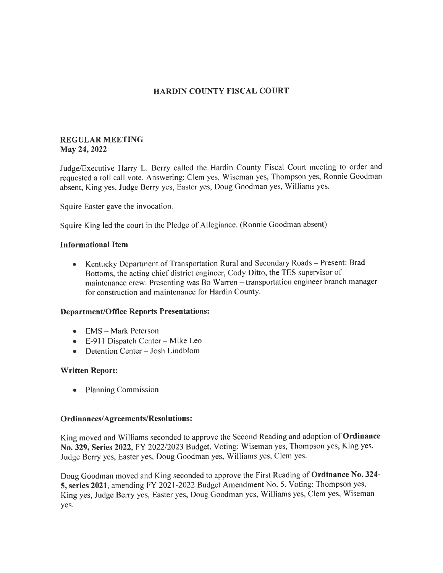# HARDIN COUNTY FISCAL COURT

### REGULAR MEETING May 24, 2022

Judge/Executive Harry L. Berry called the Hardin County Fiscal Court meeting to order and requested a roll call vote. Answering: Clem yes, Wiseman yes, Thompson yes, Ronnie Goodman absent, King yes, Judge Berry yes, Easter yes, Doug Goodman yes, Williams yes.

Squire Easter gave the invocation

Squire King led the court in the Pledge of Allegiance. (Ronnie Goodman absent)

### Informational ltem

• Kentucky Department of Transportation Rural and Secondary Roads – Present: Brad Bottoms, the acting chief district engineer, Cody Ditto, the TES supervisor of maintenance crew. Presenting was Bo Warren - transportation engineer branch manager for construction and maintenance for Hardin County.

#### Department/Office Reports Presentations:

- EMS Mark Peterson
- $\bullet$  E-911 Dispatch Center Mike Leo
- $\bullet$  Detention Center Josh Lindblom

#### Written Report:

. Planning Commission

#### Ordinances/Agreements/Resolutions:

King moved and Williams seconded to approve the Second Reading and adoption of Ordinance No. 329, Series 2022, FY 2022/2023 Budget. Voting: Wiseman yes, Thompson yes, King yes, Judge Berry yes, Easter yes, Doug Goodman yes, Williams yes, Clem yes.

Doug Goodman moved and King seconded to approve the First Reading of Ordinance No. 324- 5, series 2021, amending FY 2021-2022 Budget Amendment No. 5. Voting: Thompson yes, King yes, Judge Berry yes, Easter yes, Doug Goodman yes, Williams yes, Clem yes, Wiseman yes.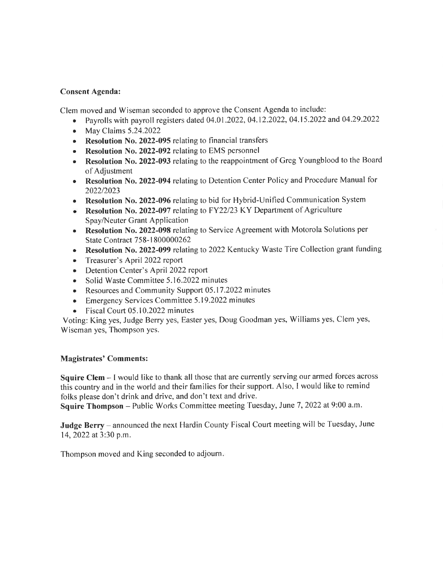## Consent Agenda:

Clem moved and Wiseman seconded to approve the Consent Agenda to include:

- Payrolls with payroll registers dated  $04.01.2022$ ,  $04.12.2022$ ,  $04.15.2022$  and  $04.29.2022$
- . May Claims 5.24.2022
- Resolution No. 2022-095 relating to financial transfers
- Resolution No. 2022-092 relating to EMS personnel
- Resolution No. 2022-093 relating to the reappointment of Greg Youngblood to the Board of Adjustment
- Resolution No. 2022-094 relating to Detention Center Policy and Procedure Manual for 2022/2023
- o Resolution No. 2022-096 relating to bid for Hybrid-Unified Communication System
- Resolution No. 2022-097 relating to FY22/23 KY Department of Agriculture Spay/Neuter Grant Application
- Resolution No. 2022-098 relating to Service Agreement with Motorola Solutions per State Contract 758-l 800000262
- Resolution No. 2022-099 relating to 2022 Kentucky Waste Tire Collection grant funding
- . Treasurer's April 2022 report
- Detention Center's April 2022 report
- Solid Waste Committee 5.16.2022 minutes
- Resources and Community Support 05.17.2022 minutes
- Emergency Services Committee 5.19.2022 minutes
- Fiscal Court 05.10.2022 minutes

Voting: King yes, Judge Berry yes, Easter yes, Doug Goodman yes, Williams yes, Clem yes, Wiseman yes, Thompson yes.

# Magistrates' Comments:

Squire Clem - I would like to thank all those that are currently serving our armed forces across this country and in the world and their families for their support. Also, I would like to remind fotks please don't drink and drive, and don't text and drive.

Squire Thompson - Public Works Committee meeting Tuesday, June 7, 2022 at 9:00 a.m.

Judge Berry - announced the next Hardin County Fiscal Court meeting will be Tuesday, June 14,2022 at 3:30 p.m.

Thompson moved and King seconded to adjourn